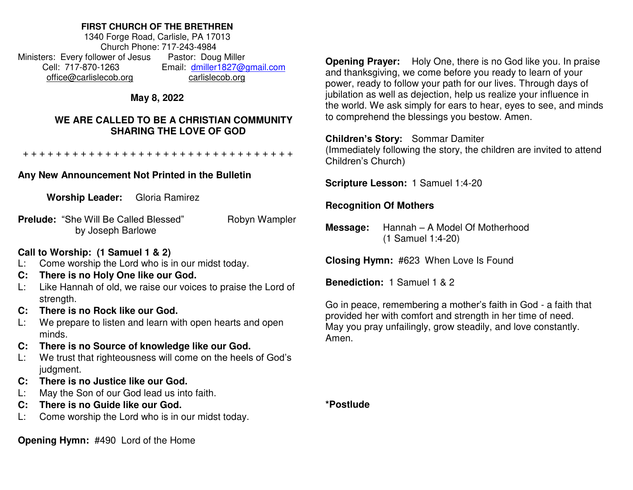### **FIRST CHURCH OF THE BRETHREN**

1340 Forge Road, Carlisle, PA 17013 Church Phone: 717-243-4984 Ministers: Every follower of Jesus Pastor: Doug Miller Cell: 717-870-1263 Email: [dmiller1827@gmail.com](mailto:dmiller1827@gmail.com) [office@carlislecob.org](mailto:office@carlislecob.org) carlislecob.org

# **May 8, 2022**

## **WE ARE CALLED TO BE A CHRISTIAN COMMUNITY SHARING THE LOVE OF GOD**

+ + + + + + + + + + + + + + + + + + + + + + + + + + + + + + + + +

# **Any New Announcement Not Printed in the Bulletin**

**Worship Leader:** Gloria Ramirez

**Prelude:** "She Will Be Called Blessed" Robyn Wampler by Joseph Barlowe

## **Call to Worship: (1 Samuel 1 & 2)**

- L: Come worship the Lord who is in our midst today.
- **C: There is no Holy One like our God.**
- L: Like Hannah of old, we raise our voices to praise the Lord of strength.
- **C: There is no Rock like our God.**
- L: We prepare to listen and learn with open hearts and open minds.
- **C: There is no Source of knowledge like our God.**
- L: We trust that righteousness will come on the heels of God's judgment.
- **C: There is no Justice like our God.**
- L: May the Son of our God lead us into faith.
- **C: There is no Guide like our God.**
- L: Come worship the Lord who is in our midst today.

**Opening Hymn:** #490 Lord of the Home

**Opening Prayer:** Holy One, there is no God like you. In praise and thanksgiving, we come before you ready to learn of your power, ready to follow your path for our lives. Through days of jubilation as well as dejection, help us realize your influence in the world. We ask simply for ears to hear, eyes to see, and minds to comprehend the blessings you bestow. Amen.

## **Children's Story:** Sommar Damiter

(Immediately following the story, the children are invited to attend Children's Church)

**Scripture Lesson:** 1 Samuel 1:4-20

# **Recognition Of Mothers**

**Message:** Hannah – A Model Of Motherhood (1 Samuel 1:4-20)

**Closing Hymn:** #623When Love Is Found

**Benediction:** 1 Samuel 1 & 2

Go in peace, remembering a mother's faith in God - a faith that provided her with comfort and strength in her time of need. May you pray unfailingly, grow steadily, and love constantly. Amen.

**\*Postlude**